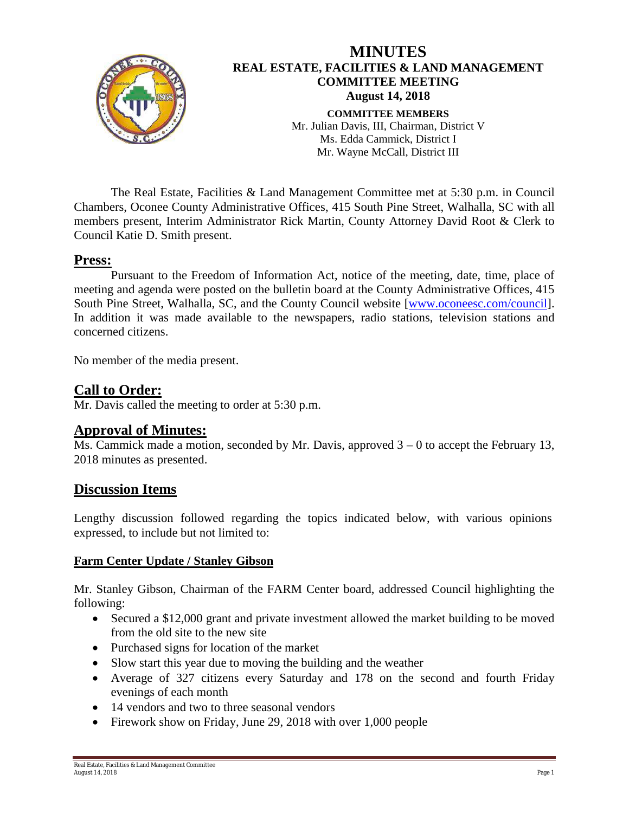

The Real Estate, Facilities & Land Management Committee met at 5:30 p.m. in Council Chambers, Oconee County Administrative Offices, 415 South Pine Street, Walhalla, SC with all members present, Interim Administrator Rick Martin, County Attorney David Root & Clerk to Council Katie D. Smith present.

### **Press:**

Pursuant to the Freedom of Information Act, notice of the meeting, date, time, place of meeting and agenda were posted on the bulletin board at the County Administrative Offices, 415 South Pine Street, Walhalla, SC, and the County Council website [\[www.oconeesc.com/council\]](http://www.oconeesc.com/council). In addition it was made available to the newspapers, radio stations, television stations and concerned citizens.

No member of the media present.

## **Call to Order:**

Mr. Davis called the meeting to order at 5:30 p.m.

## **Approval of Minutes:**

Ms. Cammick made a motion, seconded by Mr. Davis, approved 3 – 0 to accept the February 13, 2018 minutes as presented.

#### **Discussion Items**

Lengthy discussion followed regarding the topics indicated below, with various opinions expressed, to include but not limited to:

#### **Farm Center Update / Stanley Gibson**

Mr. Stanley Gibson, Chairman of the FARM Center board, addressed Council highlighting the following:

- Secured a \$12,000 grant and private investment allowed the market building to be moved from the old site to the new site
- Purchased signs for location of the market
- Slow start this year due to moving the building and the weather
- Average of 327 citizens every Saturday and 178 on the second and fourth Friday evenings of each month
- 14 vendors and two to three seasonal vendors
- Firework show on Friday, June 29, 2018 with over 1,000 people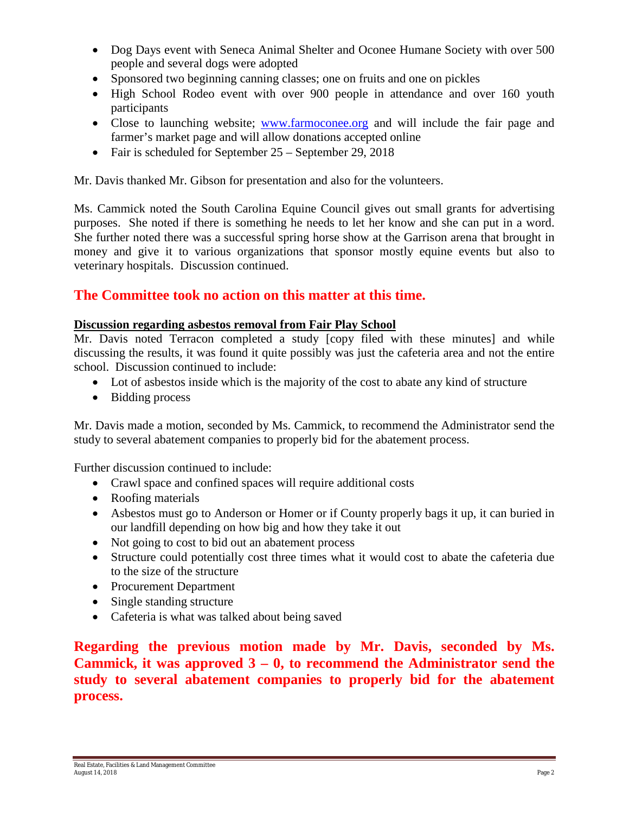- Dog Days event with Seneca Animal Shelter and Oconee Humane Society with over 500 people and several dogs were adopted
- Sponsored two beginning canning classes; one on fruits and one on pickles
- High School Rodeo event with over 900 people in attendance and over 160 youth participants
- Close to launching website; [www.farmoconee.org](http://www.farmoconee.org/) and will include the fair page and farmer's market page and will allow donations accepted online
- Fair is scheduled for September 25 September 29, 2018

Mr. Davis thanked Mr. Gibson for presentation and also for the volunteers.

Ms. Cammick noted the South Carolina Equine Council gives out small grants for advertising purposes. She noted if there is something he needs to let her know and she can put in a word. She further noted there was a successful spring horse show at the Garrison arena that brought in money and give it to various organizations that sponsor mostly equine events but also to veterinary hospitals. Discussion continued.

# **The Committee took no action on this matter at this time.**

#### **Discussion regarding asbestos removal from Fair Play School**

Mr. Davis noted Terracon completed a study [copy filed with these minutes] and while discussing the results, it was found it quite possibly was just the cafeteria area and not the entire school. Discussion continued to include:

- Lot of asbestos inside which is the majority of the cost to abate any kind of structure
- Bidding process

Mr. Davis made a motion, seconded by Ms. Cammick, to recommend the Administrator send the study to several abatement companies to properly bid for the abatement process.

Further discussion continued to include:

- Crawl space and confined spaces will require additional costs
- Roofing materials
- Asbestos must go to Anderson or Homer or if County properly bags it up, it can buried in our landfill depending on how big and how they take it out
- Not going to cost to bid out an abatement process
- Structure could potentially cost three times what it would cost to abate the cafeteria due to the size of the structure
- Procurement Department
- Single standing structure
- Cafeteria is what was talked about being saved

**Regarding the previous motion made by Mr. Davis, seconded by Ms. Cammick, it was approved 3 – 0, to recommend the Administrator send the study to several abatement companies to properly bid for the abatement process.**